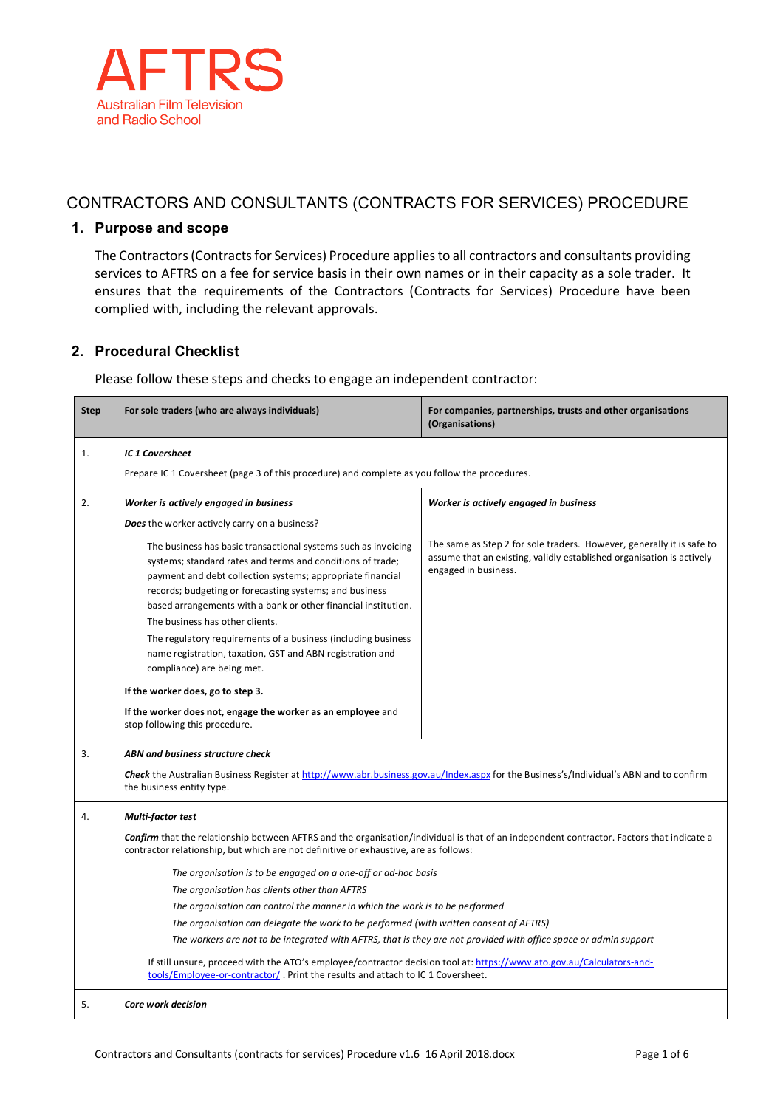

# CONTRACTORS AND CONSULTANTS (CONTRACTS FOR SERVICES) PROCEDURE

#### **1. Purpose and scope**

The Contractors (Contracts for Services) Procedure applies to all contractors and consultants providing services to AFTRS on a fee for service basis in their own names or in their capacity as a sole trader. It ensures that the requirements of the Contractors (Contracts for Services) Procedure have been complied with, including the relevant approvals.

### **2. Procedural Checklist**

Please follow these steps and checks to engage an independent contractor:

| <b>Step</b> | For sole traders (who are always individuals)                                                                                                                                                                                                                                                                                                                                                                                                                                            | For companies, partnerships, trusts and other organisations<br>(Organisations)                                                                                         |  |
|-------------|------------------------------------------------------------------------------------------------------------------------------------------------------------------------------------------------------------------------------------------------------------------------------------------------------------------------------------------------------------------------------------------------------------------------------------------------------------------------------------------|------------------------------------------------------------------------------------------------------------------------------------------------------------------------|--|
| 1.          | IC1 Coversheet                                                                                                                                                                                                                                                                                                                                                                                                                                                                           |                                                                                                                                                                        |  |
|             | Prepare IC 1 Coversheet (page 3 of this procedure) and complete as you follow the procedures.                                                                                                                                                                                                                                                                                                                                                                                            |                                                                                                                                                                        |  |
| 2.          | Worker is actively engaged in business                                                                                                                                                                                                                                                                                                                                                                                                                                                   | Worker is actively engaged in business                                                                                                                                 |  |
|             | Does the worker actively carry on a business?                                                                                                                                                                                                                                                                                                                                                                                                                                            |                                                                                                                                                                        |  |
|             | The business has basic transactional systems such as invoicing<br>systems; standard rates and terms and conditions of trade;<br>payment and debt collection systems; appropriate financial<br>records; budgeting or forecasting systems; and business<br>based arrangements with a bank or other financial institution.<br>The business has other clients.<br>The regulatory requirements of a business (including business<br>name registration, taxation, GST and ABN registration and | The same as Step 2 for sole traders. However, generally it is safe to<br>assume that an existing, validly established organisation is actively<br>engaged in business. |  |
|             | compliance) are being met.                                                                                                                                                                                                                                                                                                                                                                                                                                                               |                                                                                                                                                                        |  |
|             | If the worker does, go to step 3.                                                                                                                                                                                                                                                                                                                                                                                                                                                        |                                                                                                                                                                        |  |
|             | If the worker does not, engage the worker as an employee and<br>stop following this procedure.                                                                                                                                                                                                                                                                                                                                                                                           |                                                                                                                                                                        |  |
| 3.          | ABN and business structure check                                                                                                                                                                                                                                                                                                                                                                                                                                                         |                                                                                                                                                                        |  |
|             | Check the Australian Business Register at http://www.abr.business.gov.au/Index.aspx for the Business's/Individual's ABN and to confirm<br>the business entity type.                                                                                                                                                                                                                                                                                                                      |                                                                                                                                                                        |  |
| 4.          | <b>Multi-factor test</b>                                                                                                                                                                                                                                                                                                                                                                                                                                                                 |                                                                                                                                                                        |  |
|             | Confirm that the relationship between AFTRS and the organisation/individual is that of an independent contractor. Factors that indicate a<br>contractor relationship, but which are not definitive or exhaustive, are as follows:                                                                                                                                                                                                                                                        |                                                                                                                                                                        |  |
|             | The organisation is to be engaged on a one-off or ad-hoc basis                                                                                                                                                                                                                                                                                                                                                                                                                           |                                                                                                                                                                        |  |
|             | The organisation has clients other than AFTRS                                                                                                                                                                                                                                                                                                                                                                                                                                            |                                                                                                                                                                        |  |
|             | The organisation can control the manner in which the work is to be performed<br>The organisation can delegate the work to be performed (with written consent of AFTRS)                                                                                                                                                                                                                                                                                                                   |                                                                                                                                                                        |  |
|             |                                                                                                                                                                                                                                                                                                                                                                                                                                                                                          |                                                                                                                                                                        |  |
|             | The workers are not to be integrated with AFTRS, that is they are not provided with office space or admin support                                                                                                                                                                                                                                                                                                                                                                        |                                                                                                                                                                        |  |
|             | If still unsure, proceed with the ATO's employee/contractor decision tool at: https://www.ato.gov.au/Calculators-and-<br>tools/Employee-or-contractor/. Print the results and attach to IC 1 Coversheet.                                                                                                                                                                                                                                                                                 |                                                                                                                                                                        |  |
| 5.          | <b>Core work decision</b>                                                                                                                                                                                                                                                                                                                                                                                                                                                                |                                                                                                                                                                        |  |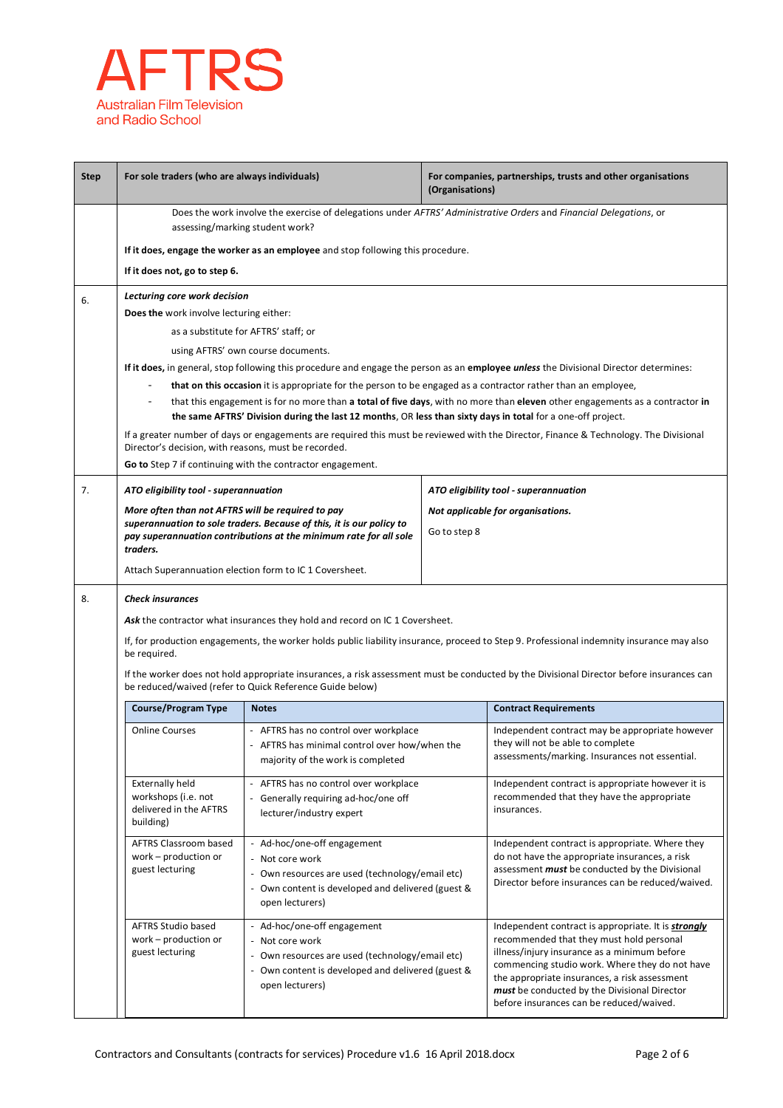

| <b>Step</b> | For sole traders (who are always individuals)                                                                                                                                                                                               |                                                                                                                                                                           | (Organisations) | For companies, partnerships, trusts and other organisations                                                                                                                                                                                                                                                                                    |
|-------------|---------------------------------------------------------------------------------------------------------------------------------------------------------------------------------------------------------------------------------------------|---------------------------------------------------------------------------------------------------------------------------------------------------------------------------|-----------------|------------------------------------------------------------------------------------------------------------------------------------------------------------------------------------------------------------------------------------------------------------------------------------------------------------------------------------------------|
|             | Does the work involve the exercise of delegations under AFTRS' Administrative Orders and Financial Delegations, or<br>assessing/marking student work?                                                                                       |                                                                                                                                                                           |                 |                                                                                                                                                                                                                                                                                                                                                |
|             |                                                                                                                                                                                                                                             | If it does, engage the worker as an employee and stop following this procedure.                                                                                           |                 |                                                                                                                                                                                                                                                                                                                                                |
|             | If it does not, go to step 6.                                                                                                                                                                                                               |                                                                                                                                                                           |                 |                                                                                                                                                                                                                                                                                                                                                |
| 6.          | Lecturing core work decision                                                                                                                                                                                                                |                                                                                                                                                                           |                 |                                                                                                                                                                                                                                                                                                                                                |
|             | Does the work involve lecturing either:                                                                                                                                                                                                     |                                                                                                                                                                           |                 |                                                                                                                                                                                                                                                                                                                                                |
|             | as a substitute for AFTRS' staff; or                                                                                                                                                                                                        |                                                                                                                                                                           |                 |                                                                                                                                                                                                                                                                                                                                                |
|             |                                                                                                                                                                                                                                             | using AFTRS' own course documents.                                                                                                                                        |                 |                                                                                                                                                                                                                                                                                                                                                |
|             |                                                                                                                                                                                                                                             | If it does, in general, stop following this procedure and engage the person as an employee <i>unless</i> the Divisional Director determines:                              |                 |                                                                                                                                                                                                                                                                                                                                                |
|             |                                                                                                                                                                                                                                             | that on this occasion it is appropriate for the person to be engaged as a contractor rather than an employee,                                                             |                 |                                                                                                                                                                                                                                                                                                                                                |
|             | that this engagement is for no more than a total of five days, with no more than eleven other engagements as a contractor in<br>the same AFTRS' Division during the last 12 months, OR less than sixty days in total for a one-off project. |                                                                                                                                                                           |                 |                                                                                                                                                                                                                                                                                                                                                |
|             | If a greater number of days or engagements are required this must be reviewed with the Director, Finance & Technology. The Divisional<br>Director's decision, with reasons, must be recorded.                                               |                                                                                                                                                                           |                 |                                                                                                                                                                                                                                                                                                                                                |
|             |                                                                                                                                                                                                                                             | Go to Step 7 if continuing with the contractor engagement.                                                                                                                |                 |                                                                                                                                                                                                                                                                                                                                                |
| 7.          | ATO eligibility tool - superannuation                                                                                                                                                                                                       |                                                                                                                                                                           |                 | ATO eligibility tool - superannuation                                                                                                                                                                                                                                                                                                          |
|             | More often than not AFTRS will be required to pay<br>traders.                                                                                                                                                                               | superannuation to sole traders. Because of this, it is our policy to<br>pay superannuation contributions at the minimum rate for all sole                                 | Go to step 8    | Not applicable for organisations.                                                                                                                                                                                                                                                                                                              |
|             |                                                                                                                                                                                                                                             | Attach Superannuation election form to IC 1 Coversheet.                                                                                                                   |                 |                                                                                                                                                                                                                                                                                                                                                |
| 8.          | <b>Check insurances</b>                                                                                                                                                                                                                     |                                                                                                                                                                           |                 |                                                                                                                                                                                                                                                                                                                                                |
|             |                                                                                                                                                                                                                                             | Ask the contractor what insurances they hold and record on IC 1 Coversheet.                                                                                               |                 |                                                                                                                                                                                                                                                                                                                                                |
|             | If, for production engagements, the worker holds public liability insurance, proceed to Step 9. Professional indemnity insurance may also<br>be required.                                                                                   |                                                                                                                                                                           |                 |                                                                                                                                                                                                                                                                                                                                                |
|             | If the worker does not hold appropriate insurances, a risk assessment must be conducted by the Divisional Director before insurances can<br>be reduced/waived (refer to Quick Reference Guide below)                                        |                                                                                                                                                                           |                 |                                                                                                                                                                                                                                                                                                                                                |
|             | <b>Course/Program Type</b>                                                                                                                                                                                                                  | <b>Notes</b>                                                                                                                                                              |                 | <b>Contract Requirements</b>                                                                                                                                                                                                                                                                                                                   |
|             | <b>Online Courses</b>                                                                                                                                                                                                                       | - AFTRS has no control over workplace<br>- AFTRS has minimal control over how/when the<br>majority of the work is completed                                               |                 | Independent contract may be appropriate however<br>they will not be able to complete<br>assessments/marking. Insurances not essential.                                                                                                                                                                                                         |
|             | <b>Externally held</b><br>workshops (i.e. not<br>delivered in the AFTRS<br>building)                                                                                                                                                        | - AFTRS has no control over workplace<br>- Generally requiring ad-hoc/one off<br>lecturer/industry expert                                                                 |                 | Independent contract is appropriate however it is<br>recommended that they have the appropriate<br>insurances.                                                                                                                                                                                                                                 |
|             | <b>AFTRS Classroom based</b><br>work - production or<br>guest lecturing                                                                                                                                                                     | - Ad-hoc/one-off engagement<br>- Not core work<br>- Own resources are used (technology/email etc)<br>- Own content is developed and delivered (guest &<br>open lecturers) |                 | Independent contract is appropriate. Where they<br>do not have the appropriate insurances, a risk<br>assessment must be conducted by the Divisional<br>Director before insurances can be reduced/waived.                                                                                                                                       |
|             | AFTRS Studio based<br>work - production or<br>guest lecturing                                                                                                                                                                               | - Ad-hoc/one-off engagement<br>- Not core work<br>- Own resources are used (technology/email etc)<br>- Own content is developed and delivered (guest &<br>open lecturers) |                 | Independent contract is appropriate. It is strongly<br>recommended that they must hold personal<br>illness/injury insurance as a minimum before<br>commencing studio work. Where they do not have<br>the appropriate insurances, a risk assessment<br>must be conducted by the Divisional Director<br>before insurances can be reduced/waived. |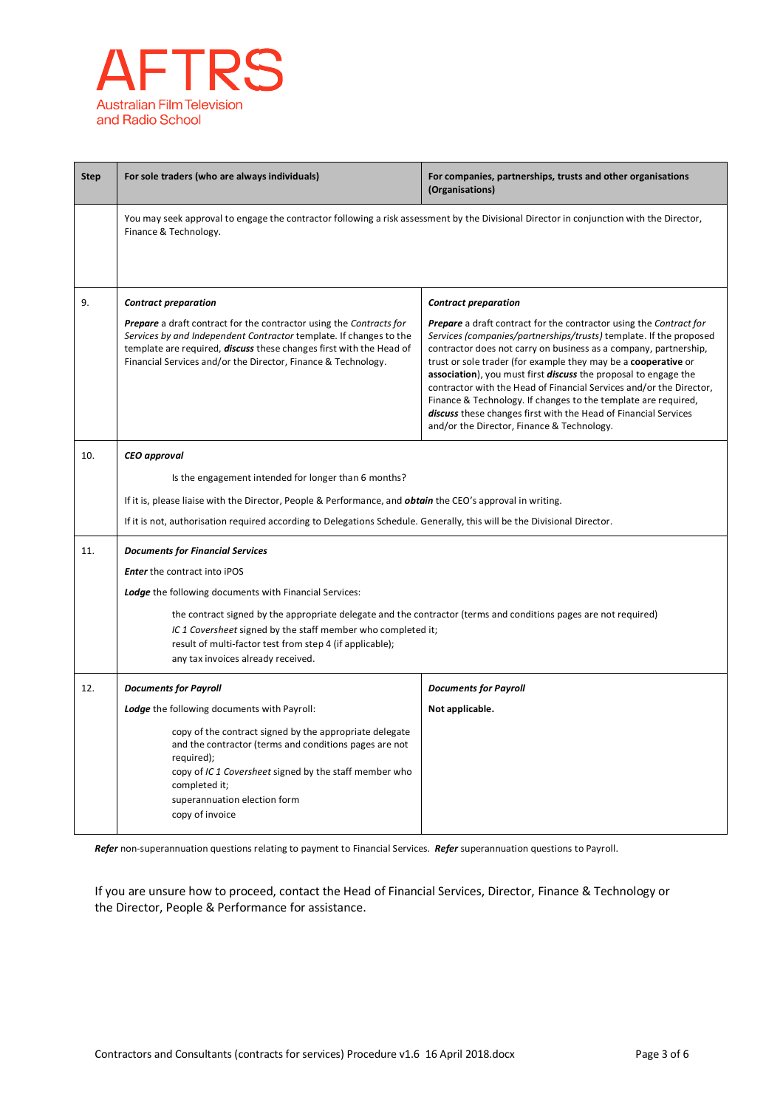

| <b>Step</b> | For sole traders (who are always individuals)                                                                                                                                                                                                                                                   | For companies, partnerships, trusts and other organisations<br>(Organisations)                                                                                                                                                                                                                                                                                                                                                                                                                                                                                                                                     |  |
|-------------|-------------------------------------------------------------------------------------------------------------------------------------------------------------------------------------------------------------------------------------------------------------------------------------------------|--------------------------------------------------------------------------------------------------------------------------------------------------------------------------------------------------------------------------------------------------------------------------------------------------------------------------------------------------------------------------------------------------------------------------------------------------------------------------------------------------------------------------------------------------------------------------------------------------------------------|--|
|             | You may seek approval to engage the contractor following a risk assessment by the Divisional Director in conjunction with the Director,<br>Finance & Technology.                                                                                                                                |                                                                                                                                                                                                                                                                                                                                                                                                                                                                                                                                                                                                                    |  |
| 9.          | <b>Contract preparation</b>                                                                                                                                                                                                                                                                     | <b>Contract preparation</b>                                                                                                                                                                                                                                                                                                                                                                                                                                                                                                                                                                                        |  |
|             | <b>Prepare</b> a draft contract for the contractor using the Contracts for<br>Services by and Independent Contractor template. If changes to the<br>template are required, <i>discuss</i> these changes first with the Head of<br>Financial Services and/or the Director, Finance & Technology. | Prepare a draft contract for the contractor using the Contract for<br>Services (companies/partnerships/trusts) template. If the proposed<br>contractor does not carry on business as a company, partnership,<br>trust or sole trader (for example they may be a <b>cooperative</b> or<br>association), you must first discuss the proposal to engage the<br>contractor with the Head of Financial Services and/or the Director,<br>Finance & Technology. If changes to the template are required,<br>discuss these changes first with the Head of Financial Services<br>and/or the Director, Finance & Technology. |  |
| 10.         | <b>CEO</b> approval                                                                                                                                                                                                                                                                             |                                                                                                                                                                                                                                                                                                                                                                                                                                                                                                                                                                                                                    |  |
|             | Is the engagement intended for longer than 6 months?                                                                                                                                                                                                                                            |                                                                                                                                                                                                                                                                                                                                                                                                                                                                                                                                                                                                                    |  |
|             | If it is, please liaise with the Director, People & Performance, and <b>obtain</b> the CEO's approval in writing.                                                                                                                                                                               |                                                                                                                                                                                                                                                                                                                                                                                                                                                                                                                                                                                                                    |  |
|             | If it is not, authorisation required according to Delegations Schedule. Generally, this will be the Divisional Director.                                                                                                                                                                        |                                                                                                                                                                                                                                                                                                                                                                                                                                                                                                                                                                                                                    |  |
| 11.         | <b>Documents for Financial Services</b>                                                                                                                                                                                                                                                         |                                                                                                                                                                                                                                                                                                                                                                                                                                                                                                                                                                                                                    |  |
|             | <b>Enter</b> the contract into iPOS                                                                                                                                                                                                                                                             |                                                                                                                                                                                                                                                                                                                                                                                                                                                                                                                                                                                                                    |  |
|             | Lodge the following documents with Financial Services:                                                                                                                                                                                                                                          |                                                                                                                                                                                                                                                                                                                                                                                                                                                                                                                                                                                                                    |  |
|             | the contract signed by the appropriate delegate and the contractor (terms and conditions pages are not required)<br>IC 1 Coversheet signed by the staff member who completed it;<br>result of multi-factor test from step 4 (if applicable);<br>any tax invoices already received.              |                                                                                                                                                                                                                                                                                                                                                                                                                                                                                                                                                                                                                    |  |
| 12.         | <b>Documents for Payroll</b>                                                                                                                                                                                                                                                                    | <b>Documents for Payroll</b>                                                                                                                                                                                                                                                                                                                                                                                                                                                                                                                                                                                       |  |
|             | Lodge the following documents with Payroll:                                                                                                                                                                                                                                                     | Not applicable.                                                                                                                                                                                                                                                                                                                                                                                                                                                                                                                                                                                                    |  |
|             | copy of the contract signed by the appropriate delegate<br>and the contractor (terms and conditions pages are not<br>required);<br>copy of IC 1 Coversheet signed by the staff member who<br>completed it;<br>superannuation election form<br>copy of invoice                                   |                                                                                                                                                                                                                                                                                                                                                                                                                                                                                                                                                                                                                    |  |

*Refer* non-superannuation questions relating to payment to Financial Services. *Refer* superannuation questions to Payroll.

If you are unsure how to proceed, contact the Head of Financial Services, Director, Finance & Technology or the Director, People & Performance for assistance.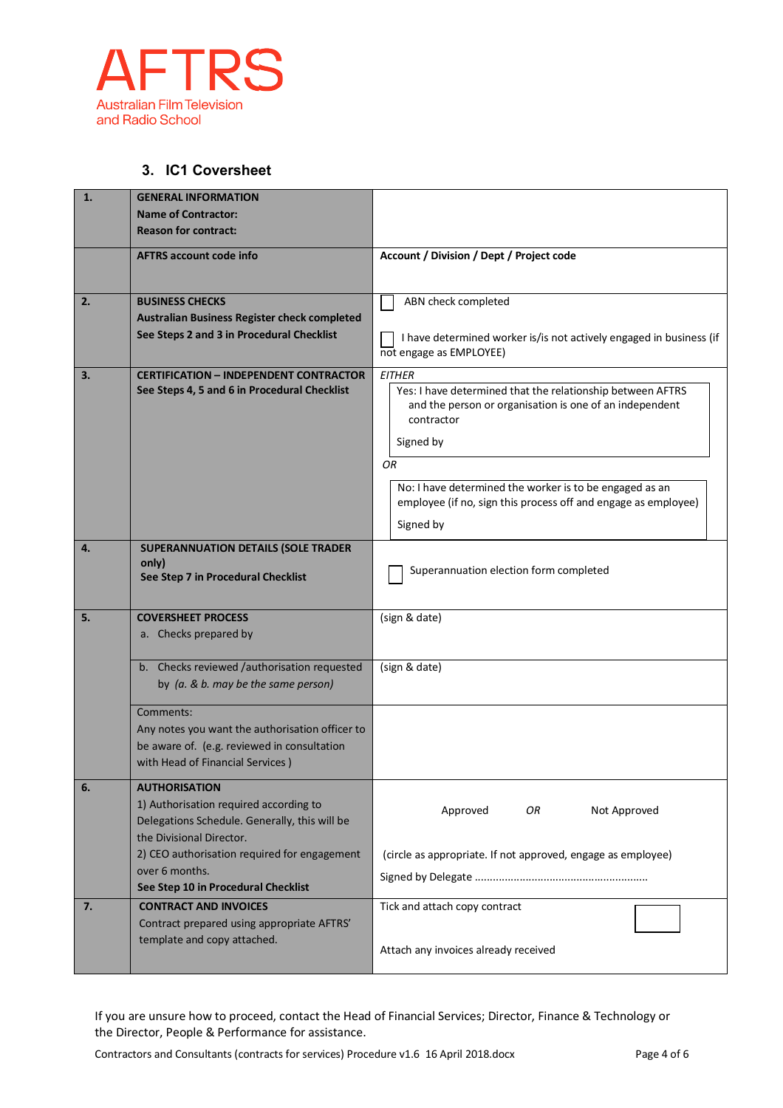

# **3. IC1 Coversheet**

| 1. | <b>GENERAL INFORMATION</b>                                                                                                                      |                                                                                                                                                                          |
|----|-------------------------------------------------------------------------------------------------------------------------------------------------|--------------------------------------------------------------------------------------------------------------------------------------------------------------------------|
|    | <b>Name of Contractor:</b>                                                                                                                      |                                                                                                                                                                          |
|    | <b>Reason for contract:</b>                                                                                                                     |                                                                                                                                                                          |
|    | <b>AFTRS account code info</b>                                                                                                                  | Account / Division / Dept / Project code                                                                                                                                 |
|    |                                                                                                                                                 |                                                                                                                                                                          |
| 2. | <b>BUSINESS CHECKS</b>                                                                                                                          | ABN check completed                                                                                                                                                      |
|    | Australian Business Register check completed                                                                                                    |                                                                                                                                                                          |
|    | See Steps 2 and 3 in Procedural Checklist                                                                                                       | I have determined worker is/is not actively engaged in business (if<br>not engage as EMPLOYEE)                                                                           |
| 3. | <b>CERTIFICATION - INDEPENDENT CONTRACTOR</b><br>See Steps 4, 5 and 6 in Procedural Checklist                                                   | <b>EITHER</b><br>Yes: I have determined that the relationship between AFTRS<br>and the person or organisation is one of an independent<br>contractor<br>Signed by<br>OR. |
|    |                                                                                                                                                 | No: I have determined the worker is to be engaged as an<br>employee (if no, sign this process off and engage as employee)<br>Signed by                                   |
| 4. | SUPERANNUATION DETAILS (SOLE TRADER<br>only)<br>See Step 7 in Procedural Checklist                                                              | Superannuation election form completed                                                                                                                                   |
| 5. | <b>COVERSHEET PROCESS</b><br>a. Checks prepared by                                                                                              | (sign & date)                                                                                                                                                            |
|    | b. Checks reviewed /authorisation requested<br>by (a. & b. may be the same person)                                                              | (sign & date)                                                                                                                                                            |
|    | Comments:<br>Any notes you want the authorisation officer to<br>be aware of. (e.g. reviewed in consultation<br>with Head of Financial Services) |                                                                                                                                                                          |
| 6. | <b>AUTHORISATION</b><br>1) Authorisation required according to<br>Delegations Schedule. Generally, this will be<br>the Divisional Director.     | Approved<br>OR<br>Not Approved                                                                                                                                           |
|    | 2) CEO authorisation required for engagement<br>over 6 months.<br>See Step 10 in Procedural Checklist                                           | (circle as appropriate. If not approved, engage as employee)                                                                                                             |
| 7. | <b>CONTRACT AND INVOICES</b><br>Contract prepared using appropriate AFTRS'                                                                      | Tick and attach copy contract                                                                                                                                            |
|    | template and copy attached.                                                                                                                     | Attach any invoices already received                                                                                                                                     |

If you are unsure how to proceed, contact the Head of Financial Services; Director, Finance & Technology or the Director, People & Performance for assistance.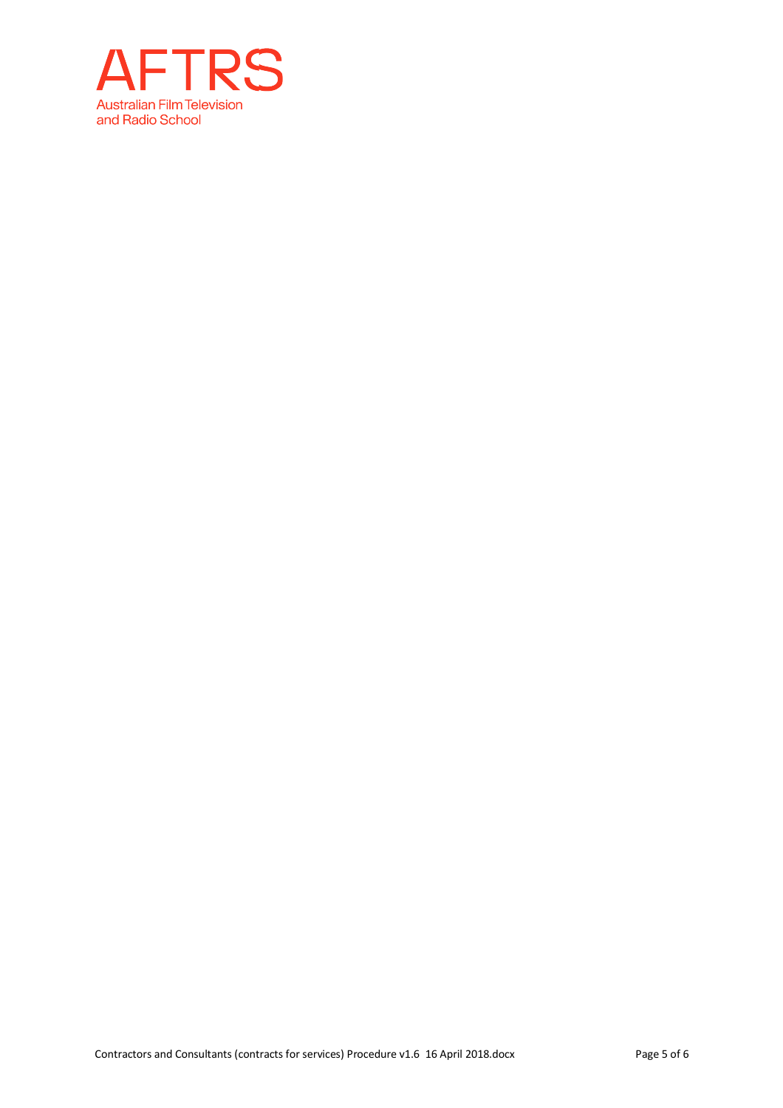